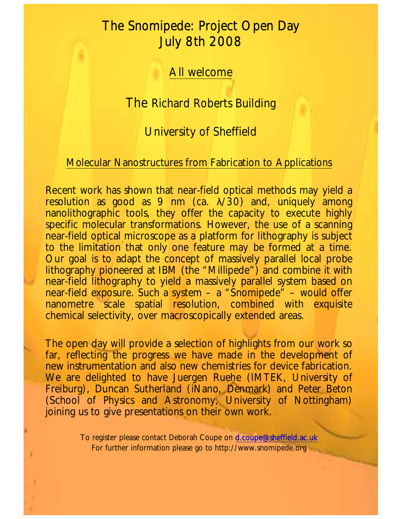## The Snomipede: Project Open Day July 8th 2008

All welcome

The Richard Roberts Building

University of Sheffield

## Molecular Nanostructures from Fabrication to Applications

Recent work has shown that near-field optical methods may yield a resolution as good as 9 nm (ca.  $\lambda$ /30) and, uniquely among nanolithographic tools, they offer the capacity to execute highly specific molecular transformations. However, the use of a scanning near-field optical microscope as a platform for lithography is subject to the limitation that only one feature may be formed at a time. Our goal is to adapt the concept of massively parallel local probe lithography pioneered at IBM (the "Millipede") and combine it with near-field lithography to yield a massively parallel system based on near-field exposure. Such a system – a "Snomipede" – would offer nanometre scale spatial resolution, combined with exquisite chemical selectivity, over macroscopically extended areas.

The open day will provide a selection of highlights from our work so far, reflecting the progress we have made in the development of new instrumentation and also new chemistries for device fabrication. We are delighted to have Juergen Ruehe (IMTEK, University of Freiburg), Duncan Sutherland (iNano, Denmark) and Peter Beton (School of Physics and Astronomy, University of Nottingham) joining us to give presentations on their own work.

> To register please contact Deborah Coupe on [d.coupe@sheffield.ac.uk](mailto:d.coupe@sheffield.ac.uk) For further information please go to http://www.snomipede.org